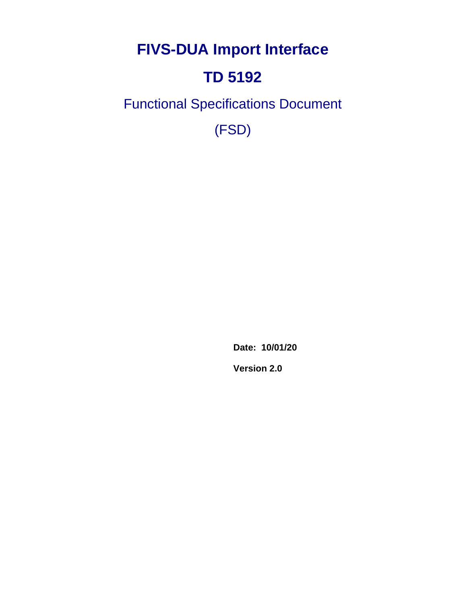**FIVS-DUA Import Interface**

# **TD 5192**

Functional Specifications Document

(FSD)

**Date: 10/01/20**

**Version 2.0**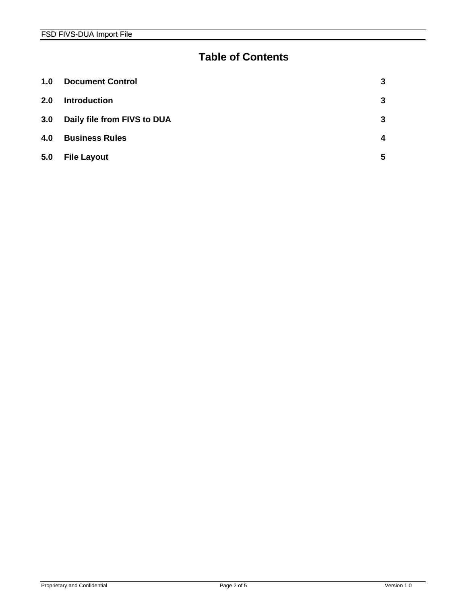#### **Table of Contents**

| 1.0 | <b>Document Control</b>     | 3 |
|-----|-----------------------------|---|
| 2.0 | <b>Introduction</b>         | 3 |
| 3.0 | Daily file from FIVS to DUA | 3 |
| 4.0 | <b>Business Rules</b>       | 4 |
| 5.0 | <b>File Layout</b>          | 5 |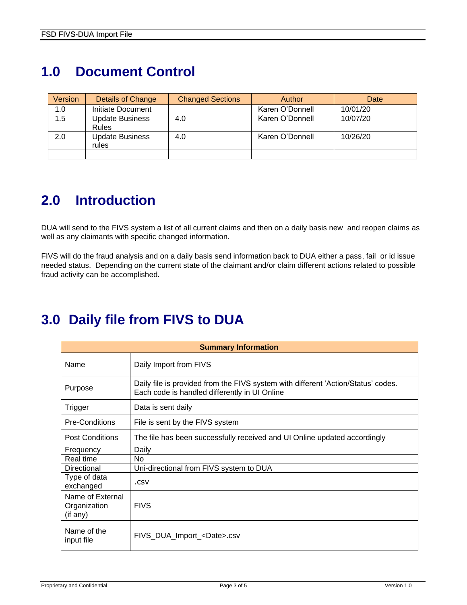### <span id="page-2-0"></span>**1.0 Document Control**

| Version | Details of Change                      | <b>Changed Sections</b> | Author          | Date     |
|---------|----------------------------------------|-------------------------|-----------------|----------|
| 1.0     | Initiate Document                      |                         | Karen O'Donnell | 10/01/20 |
| 1.5     | <b>Update Business</b><br><b>Rules</b> | 4.0                     | Karen O'Donnell | 10/07/20 |
| 2.0     | <b>Update Business</b><br>rules        | 4.0                     | Karen O'Donnell | 10/26/20 |
|         |                                        |                         |                 |          |

#### <span id="page-2-1"></span>**2.0 Introduction**

DUA will send to the FIVS system a list of all current claims and then on a daily basis new and reopen claims as well as any claimants with specific changed information.

FIVS will do the fraud analysis and on a daily basis send information back to DUA either a pass, fail or id issue needed status. Depending on the current state of the claimant and/or claim different actions related to possible fraud activity can be accomplished.

| <b>Summary Information</b>                   |                                                                                                                                    |  |  |  |  |
|----------------------------------------------|------------------------------------------------------------------------------------------------------------------------------------|--|--|--|--|
| Name                                         | Daily Import from FIVS                                                                                                             |  |  |  |  |
| Purpose                                      | Daily file is provided from the FIVS system with different 'Action/Status' codes.<br>Each code is handled differently in UI Online |  |  |  |  |
| Trigger                                      | Data is sent daily                                                                                                                 |  |  |  |  |
| <b>Pre-Conditions</b>                        | File is sent by the FIVS system                                                                                                    |  |  |  |  |
| <b>Post Conditions</b>                       | The file has been successfully received and UI Online updated accordingly                                                          |  |  |  |  |
| Frequency                                    | Daily                                                                                                                              |  |  |  |  |
| Real time                                    | N <sub>o</sub>                                                                                                                     |  |  |  |  |
| Directional                                  | Uni-directional from FIVS system to DUA                                                                                            |  |  |  |  |
| Type of data<br>exchanged                    | .csv                                                                                                                               |  |  |  |  |
| Name of External<br>Organization<br>(if any) | <b>FIVS</b>                                                                                                                        |  |  |  |  |
| Name of the<br>input file                    | FIVS_DUA_Import_ <date>.csv</date>                                                                                                 |  |  |  |  |

#### <span id="page-2-2"></span>**3.0 Daily file from FIVS to DUA**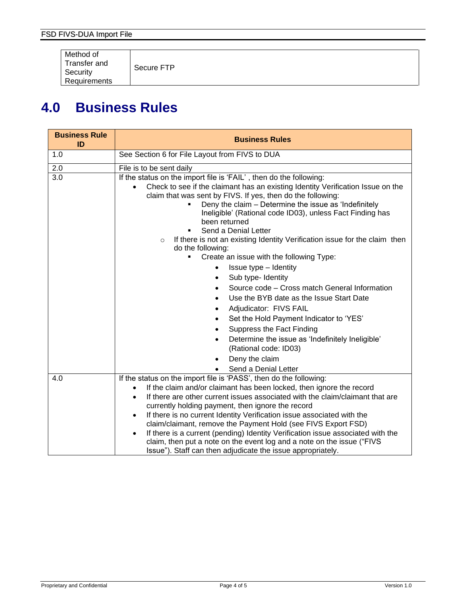Method of Transfer and **Security Requirements** 

Secure FTP

#### <span id="page-3-0"></span>**4.0 Business Rules**

| <b>Business Rule</b><br>ID | <b>Business Rules</b>                                                                                                                 |  |  |  |  |
|----------------------------|---------------------------------------------------------------------------------------------------------------------------------------|--|--|--|--|
| 1.0                        | See Section 6 for File Layout from FIVS to DUA                                                                                        |  |  |  |  |
| 2.0                        | File is to be sent daily                                                                                                              |  |  |  |  |
| 3.0                        | If the status on the import file is 'FAIL', then do the following:                                                                    |  |  |  |  |
|                            | Check to see if the claimant has an existing Identity Verification Issue on the                                                       |  |  |  |  |
|                            | claim that was sent by FIVS. If yes, then do the following:<br>Deny the claim - Determine the issue as 'Indefinitely                  |  |  |  |  |
|                            | Ineligible' (Rational code ID03), unless Fact Finding has                                                                             |  |  |  |  |
|                            | been returned                                                                                                                         |  |  |  |  |
|                            | Send a Denial Letter<br>٠                                                                                                             |  |  |  |  |
|                            | If there is not an existing Identity Verification issue for the claim then<br>$\circ$<br>do the following:                            |  |  |  |  |
|                            | Create an issue with the following Type:<br>Ξ                                                                                         |  |  |  |  |
|                            | Issue type - Identity                                                                                                                 |  |  |  |  |
|                            | Sub type- Identity                                                                                                                    |  |  |  |  |
|                            | Source code - Cross match General Information                                                                                         |  |  |  |  |
|                            | Use the BYB date as the Issue Start Date                                                                                              |  |  |  |  |
|                            | Adjudicator: FIVS FAIL                                                                                                                |  |  |  |  |
|                            | Set the Hold Payment Indicator to 'YES'                                                                                               |  |  |  |  |
|                            | Suppress the Fact Finding                                                                                                             |  |  |  |  |
|                            | Determine the issue as 'Indefinitely Ineligible'<br>$\bullet$                                                                         |  |  |  |  |
|                            | (Rational code: ID03)                                                                                                                 |  |  |  |  |
|                            | Deny the claim                                                                                                                        |  |  |  |  |
| 4.0                        | Send a Denial Letter<br>If the status on the import file is 'PASS', then do the following:                                            |  |  |  |  |
|                            | If the claim and/or claimant has been locked, then ignore the record<br>$\bullet$                                                     |  |  |  |  |
|                            | If there are other current issues associated with the claim/claimant that are<br>$\bullet$                                            |  |  |  |  |
|                            | currently holding payment, then ignore the record                                                                                     |  |  |  |  |
|                            | If there is no current Identity Verification issue associated with the<br>$\bullet$                                                   |  |  |  |  |
|                            | claim/claimant, remove the Payment Hold (see FIVS Export FSD)                                                                         |  |  |  |  |
|                            | If there is a current (pending) Identity Verification issue associated with the                                                       |  |  |  |  |
|                            | claim, then put a note on the event log and a note on the issue ("FIVS<br>Issue"). Staff can then adjudicate the issue appropriately. |  |  |  |  |